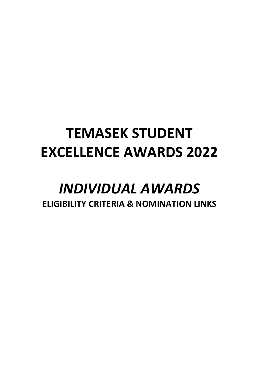# **TEMASEK STUDENT EXCELLENCE AWARDS 2022**

# *INDIVIDUAL AWARDS* **ELIGIBILITY CRITERIA & NOMINATION LINKS**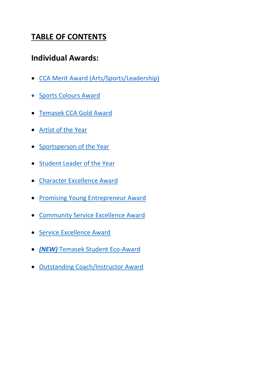# **TABLE OF CONTENTS**

# **Individual Awards:**

- [CCA Merit Award \(Arts/Sports/Leadership\)](#page-2-0)
- [Sports Colours Award](#page-2-1)
- [Temasek CCA Gold Award](#page-3-0)
- [Artist of the Year](#page-4-0)
- [Sportsperson of the Year](#page-4-1)
- [Student Leader of the Year](#page-5-0)
- [Character Excellence Award](#page-6-0)
- [Promising Young Entrepreneur Award](#page-6-1)
- [Community Service Excellence Award](#page-7-0)
- [Service Excellence Award](#page-7-1)
- *(NEW)* [Temasek Student Eco-Award](#page-8-0)
- [Outstanding Coach/Instructor Award](#page-9-0)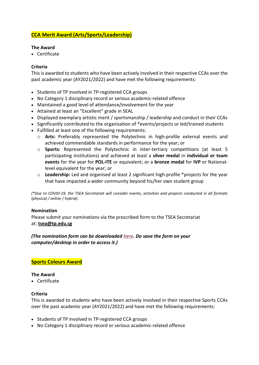# <span id="page-2-0"></span>**CCA Merit Award (Arts/Sports/Leadership)**

# **The Award**

• Certificate

# **Criteria**

This is awarded to students who have been actively involved in their respective CCAs over the past academic year (AY2021/2022) and have met the following requirements:

- Students of TP involved in TP-registered CCA groups
- No Category 1 disciplinary record or serious academic-related offence
- Maintained a good level of attendance/involvement for the year
- Attained at least an "Excellent" grade in SEAL
- Displayed exemplary artistic merit / sportsmanship / leadership and conduct in their CCAs
- Significantly contributed to the organisation of \*events/projects or led/trained students
- Fulfilled at least one of the following requirements:
	- o **Arts:** Preferably represented the Polytechnic in high-profile external events and achieved commendable standards in performance for the year; or
	- o **Sports:** Represented the Polytechnic in inter-tertiary competitions (at least 5 participating institutions) and achieved at least a **silver medal** in **individual or team events** for the year for **POL-ITE** or equivalent; or a **bronze medal** for **IVP** or Nationallevel equivalent for the year; or
	- o **Leadership:** Led and organised at least 2 significant high profile \*projects for the year that have impacted a wider community beyond his/her own student group

*(\*Due to COVID-19, the TSEA Secretariat will consider events, activities and projects conducted in all formats (physical / online / hybrid).* 

# **Nomination**

Please submit your nominations via the prescribed form to the TSEA Secretariat at: **[tsea@tp.edu.sg](mailto:tsea@tp.edu.sg)**

# *(The nomination form can be downloaded [here.](https://staff.tp.edu.sg/Forms/Forms-StudentMatters/TSEA%202022%20-%20CCA%20Merit%20Award%20%20Sports%20Colours%20Award%20(Nomination%20Form).xlsx) Do save the form on your computer/desktop in order to access it.)*

# <span id="page-2-1"></span>**Sports Colours Award**

# **The Award**

• Certificate

# **Criteria**

This is awarded to students who have been actively involved in their respective Sports CCAs over the past academic year (AY2021/2022) and have met the following requirements:

- Students of TP involved in TP-registered CCA groups
- No Category 1 disciplinary record or serious academic-related offence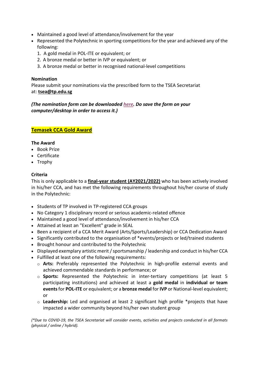- Maintained a good level of attendance/involvement for the year
- Represented the Polytechnic in sporting competitions for the year and achieved any of the following:
	- 1. A gold medal in POL-ITE or equivalent; or
	- 2. A bronze medal or better in IVP or equivalent; or
	- 3. A bronze medal or better in recognised national-level competitions

# **Nomination**

Please submit your nominations via the prescribed form to the TSEA Secretariat at: **[tsea@tp.edu.sg](mailto:tsea@tp.edu.sg)**

# *(The nomination form can be downloaded [here.](https://staff.tp.edu.sg/Forms/Forms-StudentMatters/TSEA%202022%20-%20CCA%20Merit%20Award%20%20Sports%20Colours%20Award%20(Nomination%20Form).xlsx) Do save the form on your computer/desktop in order to access it.)*

# <span id="page-3-0"></span>**Temasek CCA Gold Award**

# **The Award**

- Book Prize
- Certificate
- Trophy

# **Criteria**

This is only applicable to a **final-year student (AY2021/2022)** who has been actively involved in his/her CCA, and has met the following requirements throughout his/her course of study in the Polytechnic:

- Students of TP involved in TP-registered CCA groups
- No Category 1 disciplinary record or serious academic-related offence
- Maintained a good level of attendance/involvement in his/her CCA
- Attained at least an "Excellent" grade in SEAL
- Been a recipient of a CCA Merit Award (Arts/Sports/Leadership) or CCA Dedication Award
- Significantly contributed to the organisation of \*events/projects or led/trained students
- Brought honour and contributed to the Polytechnic
- Displayed exemplary artistic merit / sportsmanship / leadership and conduct in his/her CCA
- Fulfilled at least one of the following requirements:
	- o **Arts:** Preferably represented the Polytechnic in high-profile external events and achieved commendable standards in performance; or
	- o **Sports:** Represented the Polytechnic in inter-tertiary competitions (at least 5 participating institutions) and achieved at least a **gold medal** in **individual or team events**for **POL-ITE** or equivalent; or a **bronze medal** for **IVP** or National-level equivalent; or
	- o **Leadership:** Led and organised at least 2 significant high profile \*projects that have impacted a wider community beyond his/her own student group

*(\*Due to COVID-19, the TSEA Secretariat will consider events, activities and projects conducted in all formats (physical / online / hybrid).*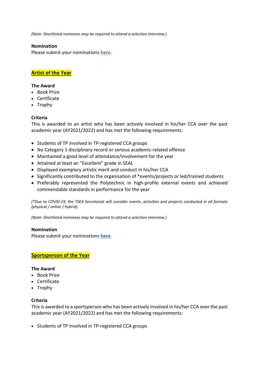*(Note: Shortlisted nominees may be required to attend a selection interview.)*

#### **Nomination**

<span id="page-4-0"></span>Please submit your nominations **[here](https://tinyurl.com/TSEA2022IndivHigherAwards)**.

# **Artist of the Year**

#### **The Award**

- Book Prize
- Certificate
- Trophy

# **Criteria**

This is awarded to an artist who has been actively involved in his/her CCA over the past academic year (AY2021/2022) and has met the following requirements:

- Students of TP involved in TP-registered CCA groups
- No Category 1 disciplinary record or serious academic-related offence
- Maintained a good level of attendance/involvement for the year
- Attained at least an "Excellent" grade in SEAL
- Displayed exemplary artistic merit and conduct in his/her CCA
- Significantly contributed to the organisation of \*events/projects or led/trained students
- Preferably represented the Polytechnic in high-profile external events and achieved commendable standards in performance for the year

*(\*Due to COVID-19, the TSEA Secretariat will consider events, activities and projects conducted in all formats (physical / online / hybrid).* 

*(Note: Shortlisted nominees may be required to attend a selection interview.)* 

#### **Nomination**

Please submit your nominations **[here](https://tinyurl.com/TSEA2022IndivHigherAwards)**.

# <span id="page-4-1"></span>**Sportsperson of the Year**

#### **The Award**

- Book Prize
- Certificate
- Trophy

# **Criteria**

This is awarded to a sportsperson who has been actively involved in his/her CCA over the past academic year (AY2021/2022) and has met the following requirements:

• Students of TP involved in TP-registered CCA groups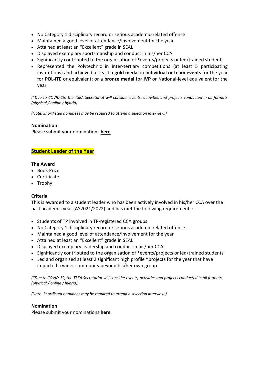- No Category 1 disciplinary record or serious academic-related offence
- Maintained a good level of attendance/involvement for the year
- Attained at least an "Excellent" grade in SEAL
- Displayed exemplary sportsmanship and conduct in his/her CCA
- Significantly contributed to the organisation of \*events/projects or led/trained students
- Represented the Polytechnic in inter-tertiary competitions (at least 5 participating institutions) and achieved at least a **gold medal** in **individual or team events** for the year for **POL-ITE** or equivalent; or a **bronze medal** for **IVP** or National-level equivalent for the year

*(\*Due to COVID-19, the TSEA Secretariat will consider events, activities and projects conducted in all formats (physical / online / hybrid).* 

*(Note: Shortlisted nominees may be required to attend a selection interview.)* 

#### **Nomination**

Please submit your nominations **[here](https://tinyurl.com/TSEA2022IndivHigherAwards)**.

# <span id="page-5-0"></span>**Student Leader of the Year**

#### **The Award**

- Book Prize
- Certificate
- Trophy

# **Criteria**

This is awarded to a student leader who has been actively involved in his/her CCA over the past academic year (AY2021/2022) and has met the following requirements:

- Students of TP involved in TP-registered CCA groups
- No Category 1 disciplinary record or serious academic-related offence
- Maintained a good level of attendance/involvement for the year
- Attained at least an "Excellent" grade in SEAL
- Displayed exemplary leadership and conduct in his/her CCA
- Significantly contributed to the organisation of \*events/projects or led/trained students
- Led and organised at least 2 significant high profile \*projects for the year that have impacted a wider community beyond his/her own group

*(\*Due to COVID-19, the TSEA Secretariat will consider events, activities and projects conducted in all formats (physical / online / hybrid).* 

*(Note: Shortlisted nominees may be required to attend a selection interview.)* 

#### **Nomination**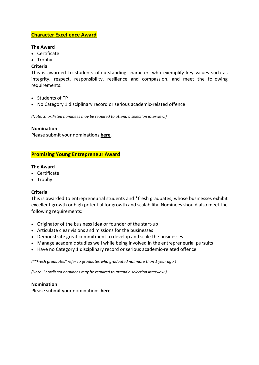# <span id="page-6-0"></span>**Character Excellence Award**

#### **The Award**

- Certificate
- Trophy

# **Criteria**

This is awarded to students of outstanding character, who exemplify key values such as integrity, respect, responsibility, resilience and compassion, and meet the following requirements:

- Students of TP
- No Category 1 disciplinary record or serious academic-related offence

*(Note: Shortlisted nominees may be required to attend a selection interview.)* 

# **Nomination**

Please submit your nominations **[here](https://tinyurl.com/TSEA2022IndivHigherAwards)**.

# <span id="page-6-1"></span>**Promising Young Entrepreneur Award**

# **The Award**

- Certificate
- Trophy

# **Criteria**

This is awarded to entrepreneurial students and \*fresh graduates, whose businesses exhibit excellent growth or high potential for growth and scalability. Nominees should also meet the following requirements:

- Originator of the business idea or founder of the start-up
- Articulate clear visions and missions for the businesses
- Demonstrate great commitment to develop and scale the businesses
- Manage academic studies well while being involved in the entrepreneurial pursuits
- Have no Category 1 disciplinary record or serious academic-related offence

*(\*"Fresh graduates" refer to graduates who graduated not more than 1 year ago.)*

*(Note: Shortlisted nominees may be required to attend a selection interview.)* 

# **Nomination**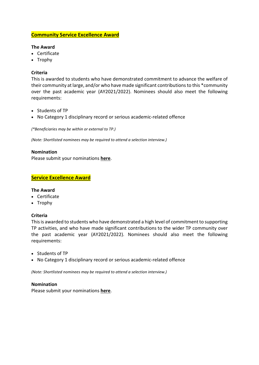# <span id="page-7-0"></span>**Community Service Excellence Award**

# **The Award**

- Certificate
- Trophy

# **Criteria**

This is awarded to students who have demonstrated commitment to advance the welfare of their community at large, and/or who have made significant contributions to this \*community over the past academic year (AY2021/2022). Nominees should also meet the following requirements:

- Students of TP
- No Category 1 disciplinary record or serious academic-related offence

*(\*Beneficiaries may be within or external to TP.)* 

*(Note: Shortlisted nominees may be required to attend a selection interview.)* 

# **Nomination**

Please submit your nominations **[here](https://tinyurl.com/TSEA2022IndivHigherAwards)**.

# <span id="page-7-1"></span>**Service Excellence Award**

# **The Award**

- Certificate
- Trophy

# **Criteria**

This is awarded to students who have demonstrated a high level of commitment to supporting TP activities, and who have made significant contributions to the wider TP community over the past academic year (AY2021/2022). Nominees should also meet the following requirements:

- Students of TP
- No Category 1 disciplinary record or serious academic-related offence

*(Note: Shortlisted nominees may be required to attend a selection interview.)* 

# **Nomination**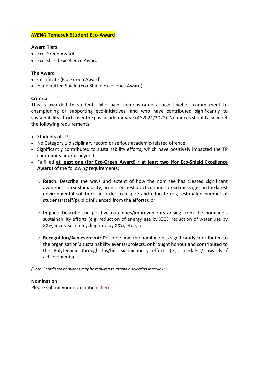# <span id="page-8-0"></span>*(NEW)* **Temasek Student Eco-Award**

#### **Award Tiers**

- Eco-Green Award
- Eco-Shield Excellence Award

# **The Award**

- Certificate (Eco-Green Award)
- Handcrafted Shield (Eco-Shield Excellence Award)

# **Criteria**

This is awarded to students who have demonstrated a high level of commitment to championing or supporting eco-initiatives, and who have contributed significantly to sustainability efforts over the past academic year (AY2021/2022). Nominees should also meet the following requirements:

- Students of TP
- No Category 1 disciplinary record or serious academic-related offence
- Significantly contributed to sustainability efforts, which have positively impacted the TP community and/or beyond
- Fulfilled **at least one (for Eco-Green Award)** / **at least two (for Eco-Shield Excellence Award)** of the following requirements:
	- o **Reach:** Describe the ways and extent of how the nominee has created significant awareness on sustainability, promoted best practices and spread messages on the latest environmental solutions, in order to inspire and educate (e.g. estimated number of students/staff/public influenced from the efforts); or
	- o **Impact:** Describe the positive outcomes/improvements arising from the nominee's sustainability efforts (e.g. reduction of energy use by XX%, reduction of water use by XX%, increase in recycling rate by XX%, etc.); or
	- o **Recognition/Achievement:** Describe how the nominee has significantly contributed to the organisation's sustainability events/projects, or brought honour and contributed to the Polytechnic through his/her sustainability efforts (e.g. medals / awards / achievements).

*(Note: Shortlisted nominees may be required to attend a selection interview.)* 

# **Nomination**